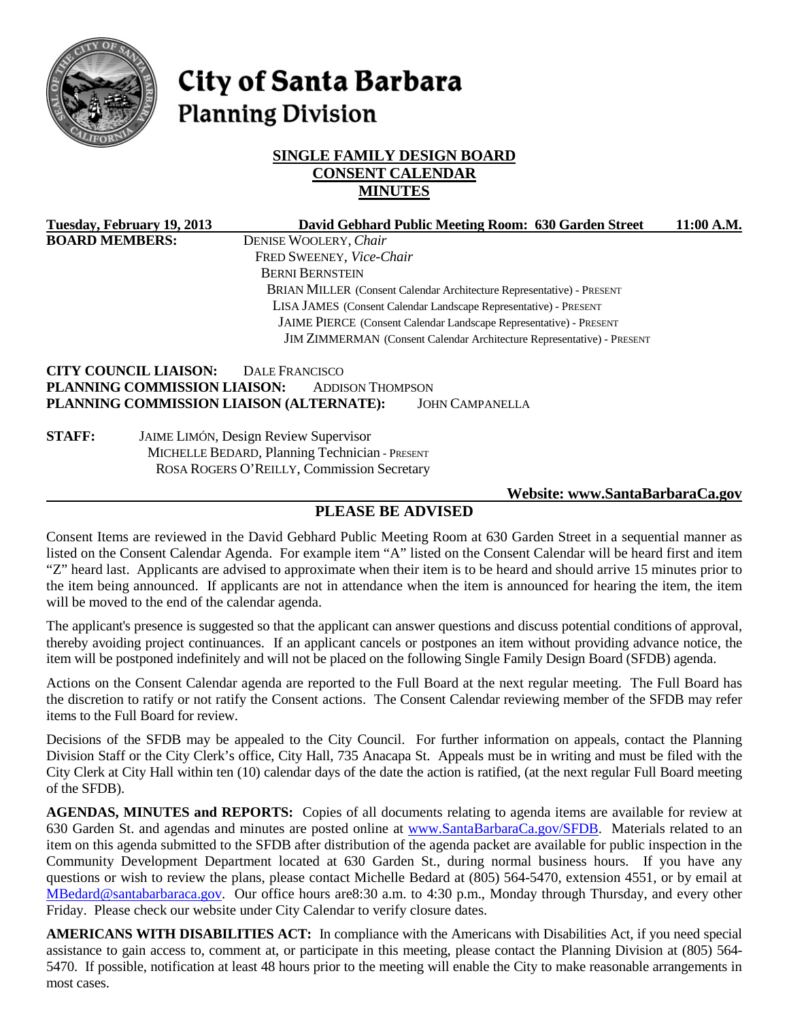

# City of Santa Barbara **Planning Division**

# **SINGLE FAMILY DESIGN BOARD CONSENT CALENDAR MINUTES**

|                                                                    | Tuesday, February 19, 2013                                                                                                                   | David Gebhard Public Meeting Room: 630 Garden Street                                                            | 11:00 A.M. |
|--------------------------------------------------------------------|----------------------------------------------------------------------------------------------------------------------------------------------|-----------------------------------------------------------------------------------------------------------------|------------|
| <b>BOARD MEMBERS:</b>                                              |                                                                                                                                              | DENISE WOOLERY, Chair                                                                                           |            |
|                                                                    |                                                                                                                                              | FRED SWEENEY, Vice-Chair                                                                                        |            |
|                                                                    |                                                                                                                                              | <b>BERNI BERNSTEIN</b>                                                                                          |            |
|                                                                    |                                                                                                                                              | <b>BRIAN MILLER</b> (Consent Calendar Architecture Representative) - PRESENT                                    |            |
|                                                                    |                                                                                                                                              | LISA JAMES (Consent Calendar Landscape Representative) - PRESENT                                                |            |
| JAIME PIERCE (Consent Calendar Landscape Representative) - PRESENT |                                                                                                                                              |                                                                                                                 |            |
|                                                                    |                                                                                                                                              | JIM ZIMMERMAN (Consent Calendar Architecture Representative) - PRESENT                                          |            |
|                                                                    | <b>CITY COUNCIL LIAISON:</b><br>PLANNING COMMISSION LIAISON:                                                                                 | DALE FRANCISCO<br><b>ADDISON THOMPSON</b><br>PLANNING COMMISSION LIAISON (ALTERNATE):<br><b>JOHN CAMPANELLA</b> |            |
| <b>STAFF:</b>                                                      | <b>JAIME LIMÓN, Design Review Supervisor</b><br>MICHELLE BEDARD, Planning Technician - PRESENT<br>ROSA ROGERS O'REILLY, Commission Secretary |                                                                                                                 |            |

#### **Website: [www.SantaBarbaraCa.gov](http://www.santabarbaraca.gov/)**

# **PLEASE BE ADVISED**

Consent Items are reviewed in the David Gebhard Public Meeting Room at 630 Garden Street in a sequential manner as listed on the Consent Calendar Agenda. For example item "A" listed on the Consent Calendar will be heard first and item "Z" heard last. Applicants are advised to approximate when their item is to be heard and should arrive 15 minutes prior to the item being announced. If applicants are not in attendance when the item is announced for hearing the item, the item will be moved to the end of the calendar agenda.

The applicant's presence is suggested so that the applicant can answer questions and discuss potential conditions of approval, thereby avoiding project continuances. If an applicant cancels or postpones an item without providing advance notice, the item will be postponed indefinitely and will not be placed on the following Single Family Design Board (SFDB) agenda.

Actions on the Consent Calendar agenda are reported to the Full Board at the next regular meeting. The Full Board has the discretion to ratify or not ratify the Consent actions. The Consent Calendar reviewing member of the SFDB may refer items to the Full Board for review.

Decisions of the SFDB may be appealed to the City Council. For further information on appeals, contact the Planning Division Staff or the City Clerk's office, City Hall, 735 Anacapa St. Appeals must be in writing and must be filed with the City Clerk at City Hall within ten (10) calendar days of the date the action is ratified, (at the next regular Full Board meeting of the SFDB).

**AGENDAS, MINUTES and REPORTS:** Copies of all documents relating to agenda items are available for review at 630 Garden St. and agendas and minutes are posted online at www.SantaBarbaraCa.gov/SFDB. Materials related to an item on this agenda submitted to the SFDB after distribution of the agenda packet are available for public inspection in the Community Development Department located at 630 Garden St., during normal business hours. If you have any questions or wish to review the plans, please contact Michelle Bedard at (805) 564-5470, extension 4551, or by email at [MBedard@santabarbaraca.gov.](mailto:MBedard@santabarbaraca.gov) Our office hours are8:30 a.m. to 4:30 p.m., Monday through Thursday, and every other Friday. Please check our website under City Calendar to verify closure dates.

**AMERICANS WITH DISABILITIES ACT:** In compliance with the Americans with Disabilities Act, if you need special assistance to gain access to, comment at, or participate in this meeting, please contact the Planning Division at (805) 564- 5470. If possible, notification at least 48 hours prior to the meeting will enable the City to make reasonable arrangements in most cases.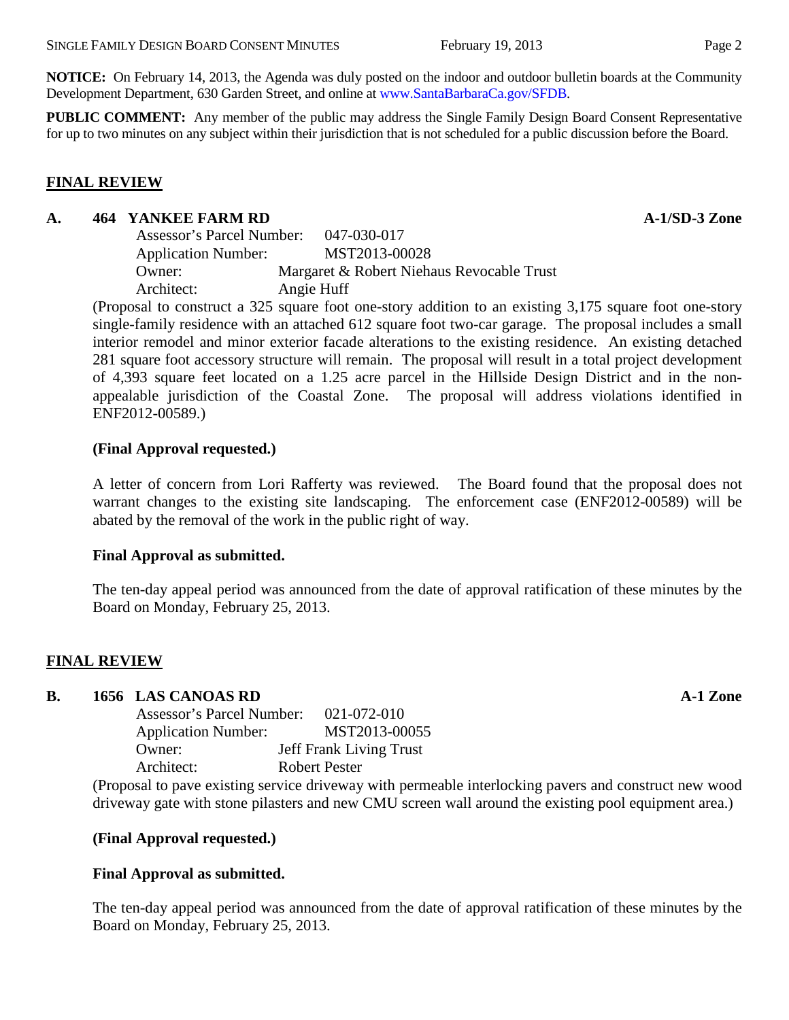**NOTICE:** On February 14, 2013, the Agenda was duly posted on the indoor and outdoor bulletin boards at the Community Development Department, 630 Garden Street, and online at www.SantaBarbaraCa.gov/SFDB.

**PUBLIC COMMENT:** Any member of the public may address the Single Family Design Board Consent Representative for up to two minutes on any subject within their jurisdiction that is not scheduled for a public discussion before the Board.

# **FINAL REVIEW**

#### **A. 464 YANKEE FARM RD A-1/SD-3 Zone**

Assessor's Parcel Number: 047-030-017 Application Number: MST2013-00028 Owner: Margaret & Robert Niehaus Revocable Trust Architect: Angie Huff

(Proposal to construct a 325 square foot one-story addition to an existing 3,175 square foot one-story single-family residence with an attached 612 square foot two-car garage. The proposal includes a small interior remodel and minor exterior facade alterations to the existing residence. An existing detached 281 square foot accessory structure will remain. The proposal will result in a total project development of 4,393 square feet located on a 1.25 acre parcel in the Hillside Design District and in the nonappealable jurisdiction of the Coastal Zone. The proposal will address violations identified in ENF2012-00589.)

# **(Final Approval requested.)**

A letter of concern from Lori Rafferty was reviewed. The Board found that the proposal does not warrant changes to the existing site landscaping. The enforcement case (ENF2012-00589) will be abated by the removal of the work in the public right of way.

# **Final Approval as submitted.**

The ten-day appeal period was announced from the date of approval ratification of these minutes by the Board on Monday, February 25, 2013.

# **FINAL REVIEW**

# **B. 1656 LAS CANOAS RD A-1 Zone**

| Assessor's Parcel Number:  |  | 021-072-010   |                                |
|----------------------------|--|---------------|--------------------------------|
| <b>Application Number:</b> |  |               | MST2013-00055                  |
| Owner:                     |  |               | <b>Jeff Frank Living Trust</b> |
| Architect:                 |  | Robert Pester |                                |
|                            |  |               |                                |

(Proposal to pave existing service driveway with permeable interlocking pavers and construct new wood driveway gate with stone pilasters and new CMU screen wall around the existing pool equipment area.)

# **(Final Approval requested.)**

# **Final Approval as submitted.**

The ten-day appeal period was announced from the date of approval ratification of these minutes by the Board on Monday, February 25, 2013.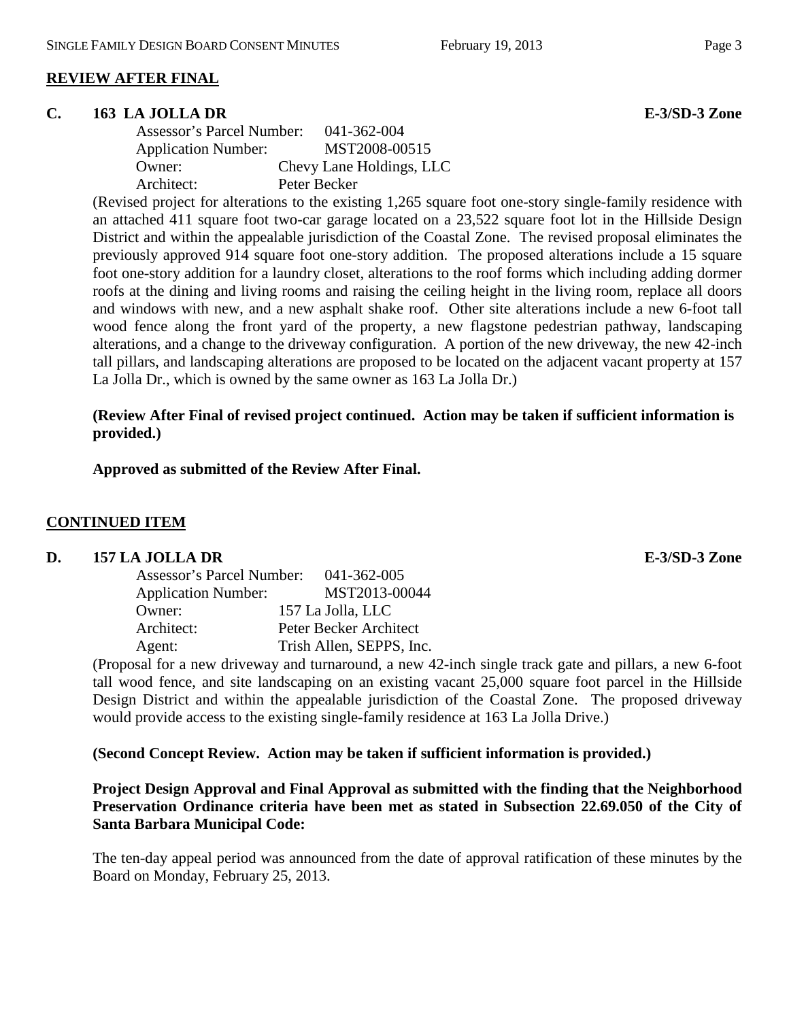# **REVIEW AFTER FINAL**

#### **C. 163 LA JOLLA DR E-3/SD-3 Zone**

| Assessor's Parcel Number:  | 041-362-004              |
|----------------------------|--------------------------|
| <b>Application Number:</b> | MST2008-00515            |
| Owner:                     | Chevy Lane Holdings, LLC |
| Architect:                 | Peter Becker             |

(Revised project for alterations to the existing 1,265 square foot one-story single-family residence with an attached 411 square foot two-car garage located on a 23,522 square foot lot in the Hillside Design District and within the appealable jurisdiction of the Coastal Zone. The revised proposal eliminates the previously approved 914 square foot one-story addition. The proposed alterations include a 15 square foot one-story addition for a laundry closet, alterations to the roof forms which including adding dormer roofs at the dining and living rooms and raising the ceiling height in the living room, replace all doors and windows with new, and a new asphalt shake roof. Other site alterations include a new 6-foot tall wood fence along the front yard of the property, a new flagstone pedestrian pathway, landscaping alterations, and a change to the driveway configuration. A portion of the new driveway, the new 42-inch tall pillars, and landscaping alterations are proposed to be located on the adjacent vacant property at 157 La Jolla Dr., which is owned by the same owner as 163 La Jolla Dr.)

# **(Review After Final of revised project continued. Action may be taken if sufficient information is provided.)**

**Approved as submitted of the Review After Final.**

# **CONTINUED ITEM**

# **D. 157 LA JOLLA DR E-3/SD-3 Zone**

| <b>Assessor's Parcel Number:</b> | 041-362-005              |
|----------------------------------|--------------------------|
| <b>Application Number:</b>       | MST2013-00044            |
| Owner:                           | 157 La Jolla, LLC        |
| Architect:                       | Peter Becker Architect   |
| Agent:                           | Trish Allen, SEPPS, Inc. |

(Proposal for a new driveway and turnaround, a new 42-inch single track gate and pillars, a new 6-foot tall wood fence, and site landscaping on an existing vacant 25,000 square foot parcel in the Hillside Design District and within the appealable jurisdiction of the Coastal Zone. The proposed driveway would provide access to the existing single-family residence at 163 La Jolla Drive.)

# **(Second Concept Review. Action may be taken if sufficient information is provided.)**

# **Project Design Approval and Final Approval as submitted with the finding that the Neighborhood Preservation Ordinance criteria have been met as stated in Subsection 22.69.050 of the City of Santa Barbara Municipal Code:**

The ten-day appeal period was announced from the date of approval ratification of these minutes by the Board on Monday, February 25, 2013.